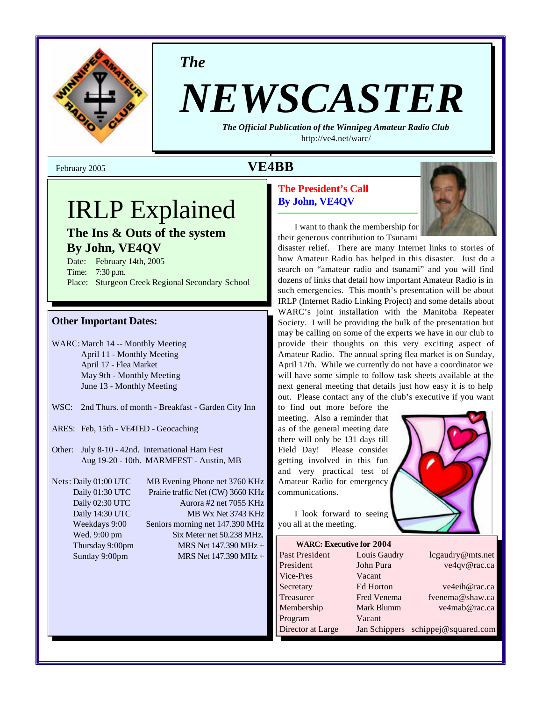

*The*

# *NEWSCASTER*

*The Official Publication of the Winnipeg Amateur Radio Club* <http://ve4.net/warc/>

## IRLP Explained

**The Ins & Outs of the system By John, VE4QV**

Date: February 14th, 2005 Time: 7:30 p.m. Place: Sturgeon Creek Regional Secondary School

#### **Other Important Dates:**

WARC:March 14 -- Monthly Meeting April 11 - Monthly Meeting April 17 - Flea Market May 9th - Monthly Meeting June 13 - Monthly Meeting

- WSC: 2nd Thurs. of month Breakfast Garden City Inn
- ARES: Feb, 15th VE4TED Geocaching
- Other: July 8-10 42nd. International Ham Fest Aug 19-20 - 10th. MARMFEST - Austin, MB

Nets: Daily 01:00 UTC MB Evening Phone net 3760 KHz Daily 01:30 UTC Prairie traffic Net (CW) 3660 KHz Daily 02:30 UTC Aurora #2 net 7055 KHz Daily 14:30 UTC MB Wx Net 3743 KHz Weekdays 9:00 Seniors morning net 147.390 MHz Wed. 9:00 pm Six Meter net 50.238 MHz. Thursday 9:00pm MRS Net 147.390 MHz + Sunday 9:00pm MRS Net 147.390 MHz +

#### **The President's Call By John, VE4QV**



I want to thank the membership for their generous contribution to Tsunami

disaster relief. There are many Internet links to stories of how Amateur Radio has helped in this disaster. Just do a search on "amateur radio and tsunami" and you will find dozens of links that detail how important Amateur Radio is in such emergencies. This month's presentation will be about IRLP (Internet Radio Linking Project) and some details about WARC's joint installation with the Manitoba Repeater Society. I will be providing the bulk of the presentation but may be calling on some of the experts we have in our club to provide their thoughts on this very exciting aspect of Amateur Radio. The annual spring flea market is on Sunday, April 17th. While we currently do not have a coordinator we will have some simple to follow task sheets available at the next general meeting that details just how easy it is to help out. Please contact any of the club's executive if you want

to find out more before the meeting. Also a reminder that as of the general meeting date there will only be 131 days till Field Day! Please consider getting involved in this fun and very practical test of Amateur Radio for emergency communications.

you all at the meeting.



| <b>WARC: Executive for 2004</b> |                    |                      |
|---------------------------------|--------------------|----------------------|
| Past President                  | Louis Gaudry       | lcgaudry@mts.net     |
| President                       | John Pura          | ve4qv@rac.ca         |
| Vice-Pres                       | Vacant             |                      |
| Secretary                       | Ed Horton          | ve4eih@rac.ca        |
| Treasurer                       | <b>Fred Venema</b> | fyenema@shaw.ca      |
| Membership                      | Mark Blumm         | ve4mab@rac.ca        |
| Program                         | Vacant             |                      |
| Director at Large               | Jan Schippers      | schippej@squared.com |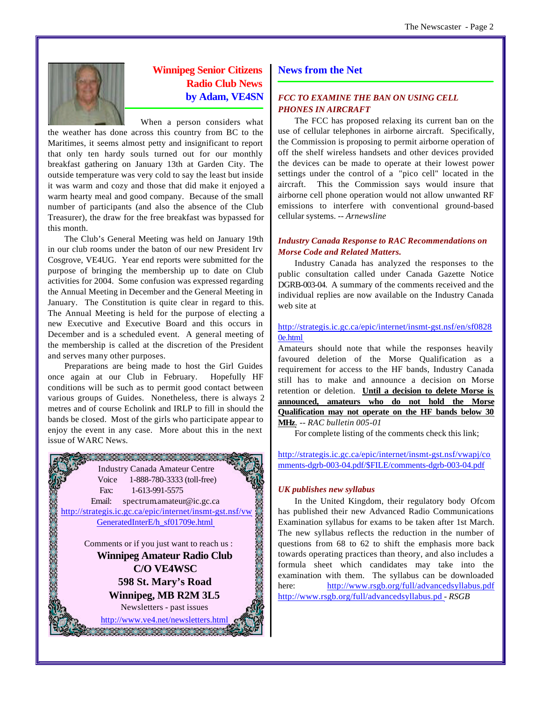

#### **Winnipeg Senior Citizens Radio Club News by Adam, VE4SN**

When a person considers what

the weather has done across this country from BC to the Maritimes, it seems almost petty and insignificant to report that only ten hardy souls turned out for our monthly breakfast gathering on January 13th at Garden City. The outside temperature was very cold to say the least but inside it was warm and cozy and those that did make it enjoyed a warm hearty meal and good company. Because of the small number of participants (and also the absence of the Club Treasurer), the draw for the free breakfast was bypassed for this month.

The Club's General Meeting was held on January 19th in our club rooms under the baton of our new President Irv Cosgrove, VE4UG. Year end reports were submitted for the purpose of bringing the membership up to date on Club activities for 2004. Some confusion was expressed regarding the Annual Meeting in December and the General Meeting in January. The Constitution is quite clear in regard to this. The Annual Meeting is held for the purpose of electing a new Executive and Executive Board and this occurs in December and is a scheduled event. A general meeting of the membership is called at the discretion of the President and serves many other purposes.

Preparations are being made to host the Girl Guides once again at our Club in February. Hopefully HF conditions will be such as to permit good contact between various groups of Guides. Nonetheless, there is always 2 metres and of course Echolink and IRLP to fill in should the bands be closed. Most of the girls who participate appear to enjoy the event in any case. More about this in the next issue of WARC News.



#### **News from the Net**

#### *FCC TO EXAMINE THE BAN ON USING CELL PHONES IN AIRCRAFT*

The FCC has proposed relaxing its current ban on the use of cellular telephones in airborne aircraft. Specifically, the Commission is proposing to permit airborne operation of off the shelf wireless handsets and other devices provided the devices can be made to operate at their lowest power settings under the control of a "pico cell" located in the aircraft. This the Commission says would insure that airborne cell phone operation would not allow unwanted RF emissions to interfere with conventional ground-based cellular systems. -- *Arnewsline*

#### *Industry Canada Response to RAC Recommendations on Morse Code and Related Matters.*

Industry Canada has analyzed the responses to the public consultation called under Canada Gazette Notice DGRB-003-04. A summary of the comments received and the individual replies are now available on the Industry Canada web site at

#### <http://strategis.ic.gc.ca/epic/internet/insmt-gst.nsf/en/sf0828> 0e.html

Amateurs should note that while the responses heavily favoured deletion of the Morse Qualification as a requirement for access to the HF bands, Industry Canada still has to make and announce a decision on Morse retention or deletion. **Until a decision to delete Morse is announced, amateurs who do not hold the Morse Qualification may not operate on the HF bands below 30 MHz***. -- RAC bulletin 005-01*

For complete listing of the comments check this link;

<http://strategis.ic.gc.ca/epic/internet/insmt-gst.nsf/vwapj/co> mments-dgrb-003-04.pdf/\$FILE/comments-dgrb-003-04.pdf

#### *UK publishes new syllabus*

In the United Kingdom, their regulatory body Ofcom has published their new Advanced Radio Communications Examination syllabus for exams to be taken after 1st March. The new syllabus reflects the reduction in the number of questions from 68 to 62 to shift the emphasis more back towards operating practices than theory, and also includes a formula sheet which candidates may take into the examination with them. The syllabus can be downloaded here: <http://www.rsgb.org/full/advancedsyllabus.pdf> <http://www.rsgb.org/full/advancedsyllabus.pd> *- RSGB*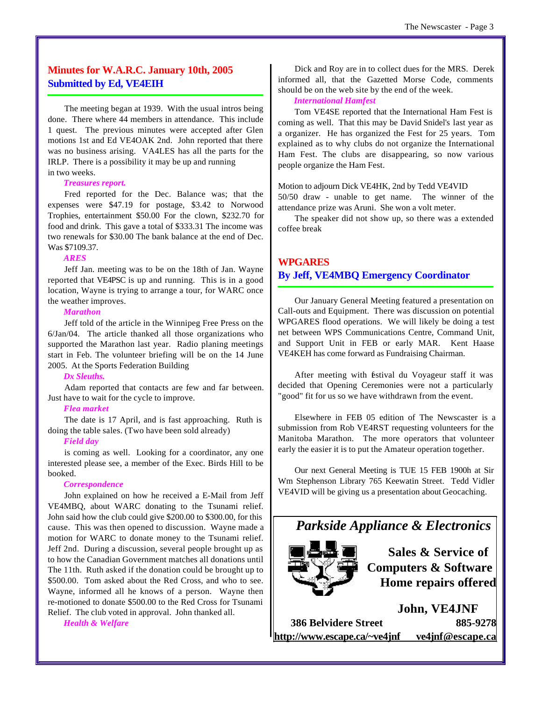#### **Minutes for W.A.R.C. January 10th, 2005 Submitted by Ed, VE4EIH**

The meeting began at 1939. With the usual intros being done. There where 44 members in attendance. This include 1 quest. The previous minutes were accepted after Glen motions 1st and Ed VE4OAK 2nd. John reported that there was no business arising. VA4LES has all the parts for the IRLP. There is a possibility it may be up and running in two weeks.

#### *Treasures report.*

Fred reported for the Dec. Balance was; that the expenses were \$47.19 for postage, \$3.42 to Norwood Trophies, entertainment \$50.00 For the clown, \$232.70 for food and drink. This gave a total of \$333.31 The income was two renewals for \$30.00 The bank balance at the end of Dec. Was \$7109.37.

#### *ARES*

Jeff Jan. meeting was to be on the 18th of Jan. Wayne reported that VE4PSC is up and running. This is in a good location, Wayne is trying to arrange a tour, for WARC once the weather improves.

#### *Marathon*

Jeff told of the article in the Winnipeg Free Press on the 6/Jan/04. The article thanked all those organizations who supported the Marathon last year. Radio planing meetings start in Feb. The volunteer briefing will be on the 14 June 2005. At the Sports Federation Building

#### *Dx Sleuths.*

Adam reported that contacts are few and far between. Just have to wait for the cycle to improve.

#### *Flea market*

The date is 17 April, and is fast approaching. Ruth is doing the table sales. (Two have been sold already)

#### *Field day*

is coming as well. Looking for a coordinator, any one interested please see, a member of the Exec. Birds Hill to be booked.

#### *Correspondence*

John explained on how he received a E-Mail from Jeff VE4MBQ, about WARC donating to the Tsunami relief. John said how the club could give \$200.00 to \$300.00, for this cause. This was then opened to discussion. Wayne made a motion for WARC to donate money to the Tsunami relief. Jeff 2nd. During a discussion, several people brought up as to how the Canadian Government matches all donations until The 11th. Ruth asked if the donation could be brought up to \$500.00. Tom asked about the Red Cross, and who to see. Wayne, informed all he knows of a person. Wayne then re-motioned to donate \$500.00 to the Red Cross for Tsunami Relief. The club voted in approval. John thanked all.

*Health & Welfare*

Dick and Roy are in to collect dues for the MRS. Derek informed all, that the Gazetted Morse Code, comments should be on the web site by the end of the week.

#### *International Hamfest*

Tom VE4SE reported that the International Ham Fest is coming as well. That this may be David Snidel's last year as a organizer. He has organized the Fest for 25 years. Tom explained as to why clubs do not organize the International Ham Fest. The clubs are disappearing, so now various people organize the Ham Fest.

Motion to adjourn Dick VE4HK, 2nd by Tedd VE4VID 50/50 draw - unable to get name. The winner of the attendance prize was Aruni. She won a volt meter.

The speaker did not show up, so there was a extended coffee break

#### **WPGARES By Jeff, VE4MBQ Emergency Coordinator**

Our January General Meeting featured a presentation on Call-outs and Equipment. There was discussion on potential WPGARES flood operations. We will likely be doing a test net between WPS Communications Centre, Command Unit, and Support Unit in FEB or early MAR. Kent Haase VE4KEH has come forward as Fundraising Chairman.

After meeting with festival du Voyageur staff it was decided that Opening Ceremonies were not a particularly "good" fit for us so we have withdrawn from the event.

Elsewhere in FEB 05 edition of The Newscaster is a submission from Rob VE4RST requesting volunteers for the Manitoba Marathon. The more operators that volunteer early the easier it is to put the Amateur operation together.

Our next General Meeting is TUE 15 FEB 1900h at Sir Wm Stephenson Library 765 Keewatin Street. Tedd Vidler VE4VID will be giving us a presentation about Geocaching.

### *Parkside Appliance & Electronics*



**Sales & Service of Computers & Software Home repairs offered**

**John, VE4JNF 386 Belvidere Street 885-9278 <http://www.escape.ca/~ve4jnf> ve4jnf@escape.ca**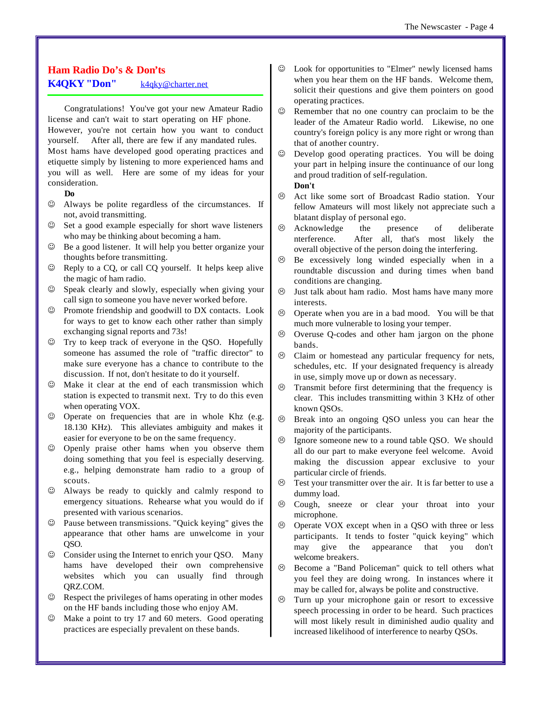#### **Ham Radio Do's & Don'ts K4QKY "Don"** k4qky@charter.net

Congratulations! You've got your new Amateur Radio license and can't wait to start operating on HF phone. However, you're not certain how you want to conduct yourself. After all, there are few if any mandated rules. Most hams have developed good operating practices and etiquette simply by listening to more experienced hams and you will as well. Here are some of my ideas for your consideration.

#### **Do**

- $\odot$  Always be polite regardless of the circumstances. If not, avoid transmitting.
- $\odot$  Set a good example especially for short wave listeners who may be thinking about becoming a ham.
- $\odot$  Be a good listener. It will help you better organize your thoughts before transmitting.
- $\odot$  Reply to a CQ, or call CQ yourself. It helps keep alive the magic of ham radio.
- $\odot$  Speak clearly and slowly, especially when giving your call sign to someone you have never worked before.
- $\odot$  Promote friendship and goodwill to DX contacts. Look for ways to get to know each other rather than simply exchanging signal reports and 73s!
- $\odot$  Try to keep track of everyone in the QSO. Hopefully someone has assumed the role of "traffic director" to make sure everyone has a chance to contribute to the discussion. If not, don't hesitate to do it yourself.
- $\odot$  Make it clear at the end of each transmission which station is expected to transmit next. Try to do this even when operating VOX.
- $\odot$  Operate on frequencies that are in whole Khz (e.g. 18.130 KHz). This alleviates ambiguity and makes it easier for everyone to be on the same frequency.
- $\odot$  Openly praise other hams when you observe them doing something that you feel is especially deserving. e.g., helping demonstrate ham radio to a group of scouts.
- $\odot$  Always be ready to quickly and calmly respond to emergency situations. Rehearse what you would do if presented with various scenarios.
- $\odot$  Pause between transmissions. "Quick keying" gives the appearance that other hams are unwelcome in your QSO.
- $\odot$  Consider using the Internet to enrich your QSO. Many hams have developed their own comprehensive websites which you can usually find through QRZ.COM.
- $\odot$  Respect the privileges of hams operating in other modes on the HF bands including those who enjoy AM.
- $\odot$  Make a point to try 17 and 60 meters. Good operating practices are especially prevalent on these bands.
- $\odot$  Look for opportunities to "Elmer" newly licensed hams when you hear them on the HF bands. Welcome them, solicit their questions and give them pointers on good operating practices.
- $\heartsuit$  Remember that no one country can proclaim to be the leader of the Amateur Radio world. Likewise, no one country's foreign policy is any more right or wrong than that of another country.
- $\odot$  Develop good operating practices. You will be doing your part in helping insure the continuance of our long and proud tradition of self-regulation.

#### **Don't**

- $\odot$  Act like some sort of Broadcast Radio station. Your fellow Amateurs will most likely not appreciate such a blatant display of personal ego.
- $\odot$  Acknowledge the presence of deliberate nterference. After all, that's most likely the overall objective of the person doing the interfering.
- $\odot$  Be excessively long winded especially when in a roundtable discussion and during times when band conditions are changing.
- $\odot$  Just talk about ham radio. Most hams have many more interests.
- $\odot$  Operate when you are in a bad mood. You will be that much more vulnerable to losing your temper.
- $\odot$  Overuse Q-codes and other ham jargon on the phone bands.
- $\odot$  Claim or homestead any particular frequency for nets, schedules, etc. If your designated frequency is already in use, simply move up or down as necessary.
- $\odot$  Transmit before first determining that the frequency is clear. This includes transmitting within 3 KHz of other known QSOs.
- $\odot$  Break into an ongoing QSO unless you can hear the majority of the participants.
- $\odot$  Ignore someone new to a round table QSO. We should all do our part to make everyone feel welcome. Avoid making the discussion appear exclusive to your particular circle of friends.
- $\odot$  Test your transmitter over the air. It is far better to use a dummy load.
- $\odot$  Cough, sneeze or clear your throat into your microphone.
- $\odot$  Operate VOX except when in a QSO with three or less participants. It tends to foster "quick keying" which may give the appearance that you don't welcome breakers.
- $\odot$  Become a "Band Policeman" quick to tell others what you feel they are doing wrong. In instances where it may be called for, always be polite and constructive.
- $\odot$  Turn up your microphone gain or resort to excessive speech processing in order to be heard. Such practices will most likely result in diminished audio quality and increased likelihood of interference to nearby QSOs.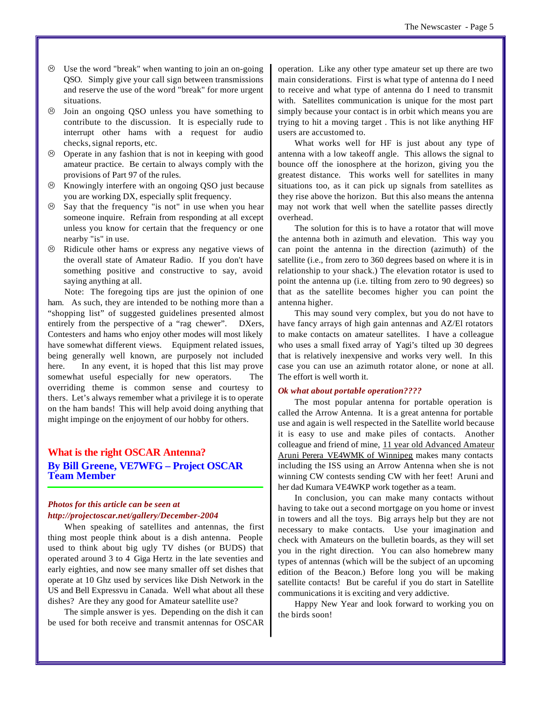- $\odot$  Use the word "break" when wanting to join an on-going QSO. Simply give your call sign between transmissions and reserve the use of the word "break" for more urgent situations.
- $\odot$  Join an ongoing QSO unless you have something to contribute to the discussion. It is especially rude to interrupt other hams with a request for audio checks, signal reports, etc.
- L Operate in any fashion that is not in keeping with good amateur practice. Be certain to always comply with the provisions of Part 97 of the rules.
- $\odot$  Knowingly interfere with an ongoing QSO just because you are working DX, especially split frequency.
- $\odot$  Say that the frequency "is not" in use when you hear someone inquire. Refrain from responding at all except unless you know for certain that the frequency or one nearby "is" in use.
- $\odot$  Ridicule other hams or express any negative views of the overall state of Amateur Radio. If you don't have something positive and constructive to say, avoid saying anything at all.

Note: The foregoing tips are just the opinion of one ham. As such, they are intended to be nothing more than a "shopping list" of suggested guidelines presented almost entirely from the perspective of a "rag chewer". DXers, Contesters and hams who enjoy other modes will most likely have somewhat different views. Equipment related issues, being generally well known, are purposely not included here. In any event, it is hoped that this list may prove somewhat useful especially for new operators. The overriding theme is common sense and courtesy to thers. Let's always remember what a privilege it is to operate on the ham bands! This will help avoid doing anything that might impinge on the enjoyment of our hobby for others.

#### **What is the right OSCAR Antenna? By Bill Greene, VE7WFG – Project OSCAR Team Member**

#### *Photos for this article can be seen at <http://projectoscar.net/gallery/December-2004>*

When speaking of satellites and antennas, the first thing most people think about is a dish antenna. People used to think about big ugly TV dishes (or BUDS) that operated around 3 to 4 Giga Hertz in the late seventies and early eighties, and now see many smaller off set dishes that operate at 10 Ghz used by services like Dish Network in the US and Bell Expressvu in Canada. Well what about all these dishes? Are they any good for Amateur satellite use?

The simple answer is yes. Depending on the dish it can be used for both receive and transmit antennas for OSCAR operation. Like any other type amateur set up there are two main considerations. First is what type of antenna do I need to receive and what type of antenna do I need to transmit with. Satellites communication is unique for the most part simply because your contact is in orbit which means you are trying to hit a moving target . This is not like anything HF users are accustomed to.

What works well for HF is just about any type of antenna with a low takeoff angle. This allows the signal to bounce off the ionosphere at the horizon, giving you the greatest distance. This works well for satellites in many situations too, as it can pick up signals from satellites as they rise above the horizon. But this also means the antenna may not work that well when the satellite passes directly overhead.

The solution for this is to have a rotator that will move the antenna both in azimuth and elevation. This way you can point the antenna in the direction (azimuth) of the satellite (i.e., from zero to 360 degrees based on where it is in relationship to your shack.) The elevation rotator is used to point the antenna up (i.e. tilting from zero to 90 degrees) so that as the satellite becomes higher you can point the antenna higher.

This may sound very complex, but you do not have to have fancy arrays of high gain antennas and AZ/El rotators to make contacts on amateur satellites. I have a colleague who uses a small fixed array of Yagi's tilted up 30 degrees that is relatively inexpensive and works very well. In this case you can use an azimuth rotator alone, or none at all. The effort is well worth it.

#### *Ok what about portable operation????*

The most popular antenna for portable operation is called the Arrow Antenna. It is a great antenna for portable use and again is well respected in the Satellite world because it is easy to use and make piles of contacts. Another colleague and friend of mine, 11 year old Advanced Amateur Aruni Perera VE4WMK of Winnipeg makes many contacts including the ISS using an Arrow Antenna when she is not winning CW contests sending CW with her feet! Aruni and her dad Kumara VE4WKP work together as a team.

In conclusion, you can make many contacts without having to take out a second mortgage on you home or invest in towers and all the toys. Big arrays help but they are not necessary to make contacts. Use your imagination and check with Amateurs on the bulletin boards, as they will set you in the right direction. You can also homebrew many types of antennas (which will be the subject of an upcoming edition of the Beacon.) Before long you will be making satellite contacts! But be careful if you do start in Satellite communications it is exciting and very addictive.

Happy New Year and look forward to working you on the birds soon!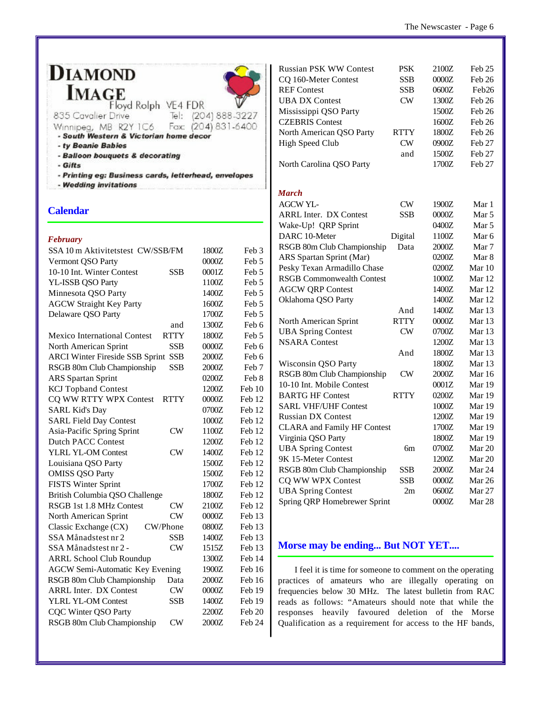### **DIAMOND IMAGE**



Floyd Rolph VE4 FDR

- 835 Cavalier Drive Tel: (204) 888-3227 Fax: (204) 831-6400
- Winnipeg, MB R2Y 1C6 - South Western & Victorian home decor
- ty Beanie Babies
- Balloon bouquets & decorating
- Gifts
- Printing eg: Business cards, letterhead, envelopes
- Wedding invitations

#### **Calendar**

#### *February*

| SSA 10 m Aktivitetstest CW/SSB/FM      |             | 1800Z | Feb 3             |
|----------------------------------------|-------------|-------|-------------------|
| Vermont QSO Party                      |             | 0000Z | Feb <sub>5</sub>  |
| 10-10 Int. Winter Contest              | <b>SSB</b>  | 0001Z | Feb 5             |
| YL-ISSB QSO Party                      |             | 1100Z | Feb 5             |
| Minnesota QSO Party                    |             | 1400Z | Feb 5             |
| <b>AGCW Straight Key Party</b>         |             | 1600Z | Feb <sub>5</sub>  |
| Delaware QSO Party                     |             | 1700Z | Feb <sub>5</sub>  |
|                                        | and         | 1300Z | Feb 6             |
| <b>Mexico International Contest</b>    | <b>RTTY</b> | 1800Z | Feb <sub>5</sub>  |
| North American Sprint                  | <b>SSB</b>  | 0000Z | Feb 6             |
| <b>ARCI Winter Fireside SSB Sprint</b> | <b>SSB</b>  | 2000Z | Feb 6             |
| RSGB 80m Club Championship             | <b>SSB</b>  | 2000Z | Feb 7             |
| <b>ARS</b> Spartan Sprint              |             | 0200Z | Feb 8             |
| <b>KCJ</b> Topband Contest             |             | 1200Z | Feb 10            |
| CQ WW RTTY WPX Contest                 | <b>RTTY</b> | 0000Z | Feb 12            |
| <b>SARL Kid's Day</b>                  |             | 0700Z | Feb 12            |
| <b>SARL Field Day Contest</b>          |             | 1000Z | Feb 12            |
| Asia-Pacific Spring Sprint             | CW          | 1100Z | Feb 12            |
| <b>Dutch PACC Contest</b>              |             | 1200Z | Feb 12            |
| <b>YLRL YL-OM Contest</b>              | CW          | 1400Z | Feb 12            |
| Louisiana QSO Party                    |             | 1500Z | Feb 12            |
| <b>OMISS QSO Party</b>                 |             | 1500Z | Feb 12            |
| <b>FISTS Winter Sprint</b>             |             | 1700Z | Feb 12            |
| British Columbia QSO Challenge         |             | 1800Z | Feb 12            |
| <b>RSGB 1st 1.8 MHz Contest</b>        | $\rm CW$    | 2100Z | Feb 12            |
| North American Sprint                  | CW          | 0000Z | Feb 13            |
| Classic Exchange (CX)<br>CW/Phone      |             | 0800Z | Feb 13            |
| SSA Månadstest nr 2                    | <b>SSB</b>  | 1400Z | Feb 13            |
| SSA Månadstest nr 2 -                  | CW          | 1515Z | Feb 13            |
| <b>ARRL School Club Roundup</b>        |             | 1300Z | Feb 14            |
| <b>AGCW Semi-Automatic Key Evening</b> |             | 1900Z | Feb 16            |
| RSGB 80m Club Championship             | Data        | 2000Z | Feb 16            |
| <b>ARRL Inter. DX Contest</b>          | CW          | 0000Z | Feb 19            |
| <b>YLRL YL-OM Contest</b>              | SSB         | 1400Z | Feb 19            |
| <b>CQC Winter QSO Party</b>            |             | 2200Z | Feb <sub>20</sub> |
| RSGB 80m Club Championship             | $\rm CW$    | 2000Z | Feb 24            |
|                                        |             |       |                   |

| <b>Russian PSK WW Contest</b>      | <b>PSK</b>             | 2100Z | Feb 25           |
|------------------------------------|------------------------|-------|------------------|
| CQ 160-Meter Contest               | SSB                    | 0000Z | Feb 26           |
| <b>REF</b> Contest                 | SSB                    | 0600Z | Feb26            |
| <b>UBA DX Contest</b>              | CW                     | 1300Z | Feb 26           |
| Mississippi QSO Party              |                        | 1500Z | Feb 26           |
| <b>CZEBRIS</b> Contest             |                        | 1600Z | Feb 26           |
| North American QSO Party           | RTTY                   | 1800Z | Feb 26           |
| <b>High Speed Club</b>             | $\overline{\text{CW}}$ | 0900Z | Feb 27           |
|                                    | and                    | 1500Z | Feb 27           |
| North Carolina QSO Party           |                        | 1700Z | Feb 27           |
| March                              |                        |       |                  |
| <b>AGCW YL-</b>                    | $\rm CW$               | 1900Z | Mar 1            |
| <b>ARRL Inter. DX Contest</b>      | SSB                    | 0000Z | Mar 5            |
| Wake-Up! QRP Sprint                |                        | 0400Z | Mar 5            |
| DARC 10-Meter                      | Digital                | 1100Z | Mar <sub>6</sub> |
| RSGB 80m Club Championship         | Data                   | 2000Z | Mar 7            |
| ARS Spartan Sprint (Mar)           |                        | 0200Z | Mar 8            |
| Pesky Texan Armadillo Chase        |                        | 0200Z | Mar 10           |
| <b>RSGB Commonwealth Contest</b>   |                        | 1000Z | Mar 12           |
| <b>AGCW QRP Contest</b>            |                        | 1400Z | Mar 12           |
| Oklahoma QSO Party                 |                        | 1400Z | Mar 12           |
|                                    | And                    | 1400Z | Mar 13           |
| North American Sprint              | <b>RTTY</b>            | 0000Z | Mar 13           |
| <b>UBA Spring Contest</b>          | CW                     | 0700Z | Mar 13           |
| <b>NSARA</b> Contest               |                        | 1200Z | Mar 13           |
|                                    | And                    | 1800Z | Mar 13           |
| Wisconsin QSO Party                |                        | 1800Z | Mar 13           |
| RSGB 80m Club Championship         | CW                     | 2000Z | Mar 16           |
| 10-10 Int. Mobile Contest          |                        | 0001Z | Mar 19           |
| <b>BARTG HF Contest</b>            | <b>RTTY</b>            | 0200Z | Mar 19           |
| <b>SARL VHF/UHF Contest</b>        |                        | 1000Z | Mar 19           |
| <b>Russian DX Contest</b>          |                        | 1200Z | Mar 19           |
| <b>CLARA</b> and Family HF Contest |                        | 1700Z | Mar 19           |
| Virginia QSO Party                 |                        | 1800Z | Mar 19           |
| <b>UBA Spring Contest</b>          | бm                     | 0700Z | Mar 20           |
| 9K 15-Meter Contest                |                        | 1200Z | Mar 20           |
| RSGB 80m Club Championship         | SSB                    | 2000Z | Mar 24           |
| CQ WW WPX Contest                  | SSB                    | 0000Z | Mar 26           |
| <b>UBA Spring Contest</b>          | 2m                     | 0600Z | Mar 27           |
| Spring QRP Homebrewer Sprint       |                        | 0000Z | Mar 28           |

#### **Morse may be ending... But NOT YET....**

I feel it is time for someone to comment on the operating practices of amateurs who are illegally operating on frequencies below 30 MHz. The latest bulletin from RAC reads as follows: "Amateurs should note that while the responses heavily favoured deletion of the Morse Qualification as a requirement for access to the HF bands,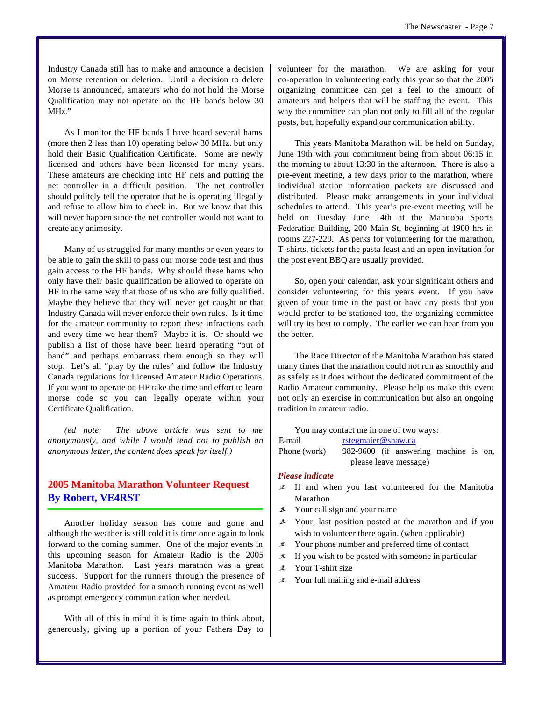Industry Canada still has to make and announce a decision on Morse retention or deletion. Until a decision to delete Morse is announced, amateurs who do not hold the Morse Qualification may not operate on the HF bands below 30 MHz."

As I monitor the HF bands I have heard several hams (more then 2 less than 10) operating below 30 MHz. but only hold their Basic Qualification Certificate. Some are newly licensed and others have been licensed for many years. These amateurs are checking into HF nets and putting the net controller in a difficult position. The net controller should politely tell the operator that he is operating illegally and refuse to allow him to check in. But we know that this will never happen since the net controller would not want to create any animosity.

Many of us struggled for many months or even years to be able to gain the skill to pass our morse code test and thus gain access to the HF bands. Why should these hams who only have their basic qualification be allowed to operate on HF in the same way that those of us who are fully qualified. Maybe they believe that they will never get caught or that Industry Canada will never enforce their own rules. Is it time for the amateur community to report these infractions each and every time we hear them? Maybe it is. Or should we publish a list of those have been heard operating "out of band" and perhaps embarrass them enough so they will stop. Let's all "play by the rules" and follow the Industry Canada regulations for Licensed Amateur Radio Operations. If you want to operate on HF take the time and effort to learn morse code so you can legally operate within your Certificate Qualification.

*(ed note: The above article was sent to me anonymously, and while I would tend not to publish an anonymous letter, the content does speak for itself.)*

#### **2005 Manitoba Marathon Volunteer Request By Robert, VE4RST**

Another holiday season has come and gone and although the weather is still cold it is time once again to look forward to the coming summer. One of the major events in this upcoming season for Amateur Radio is the 2005 Manitoba Marathon. Last years marathon was a great success. Support for the runners through the presence of Amateur Radio provided for a smooth running event as well as prompt emergency communication when needed.

With all of this in mind it is time again to think about, generously, giving up a portion of your Fathers Day to volunteer for the marathon. We are asking for your co-operation in volunteering early this year so that the 2005 organizing committee can get a feel to the amount of amateurs and helpers that will be staffing the event. This way the committee can plan not only to fill all of the regular posts, but, hopefully expand our communication ability.

This years Manitoba Marathon will be held on Sunday, June 19th with your commitment being from about 06:15 in the morning to about 13:30 in the afternoon. There is also a pre-event meeting, a few days prior to the marathon, where individual station information packets are discussed and distributed. Please make arrangements in your individual schedules to attend. This year's pre-event meeting will be held on Tuesday June 14th at the Manitoba Sports Federation Building, 200 Main St, beginning at 1900 hrs in rooms 227-229. As perks for volunteering for the marathon, T-shirts, tickets for the pasta feast and an open invitation for the post event BBQ are usually provided.

So, open your calendar, ask your significant others and consider volunteering for this years event. If you have given of your time in the past or have any posts that you would prefer to be stationed too, the organizing committee will try its best to comply. The earlier we can hear from you the better.

The Race Director of the Manitoba Marathon has stated many times that the marathon could not run as smoothly and as safely as it does without the dedicated commitment of the Radio Amateur community. Please help us make this event not only an exercise in communication but also an ongoing tradition in amateur radio.

|                       | You may contact me in one of two ways: |  |                                       |  |  |  |
|-----------------------|----------------------------------------|--|---------------------------------------|--|--|--|
| E-mail                | rstegmaier@shaw.ca                     |  |                                       |  |  |  |
| Phone (work)          |                                        |  | 982-9600 (if answering machine is on, |  |  |  |
| please leave message) |                                        |  |                                       |  |  |  |

#### *Please indicate*

- ã If and when you last volunteered for the Manitoba Marathon
- $\angle$  Your call sign and your name
- $\angle$  Your, last position posted at the marathon and if you wish to volunteer there again. (when applicable)
- $\angle$  Your phone number and preferred time of contact
- $\angle$  If you wish to be posted with someone in particular
- ã Your T-shirt size
- $\angle$  Your full mailing and e-mail address